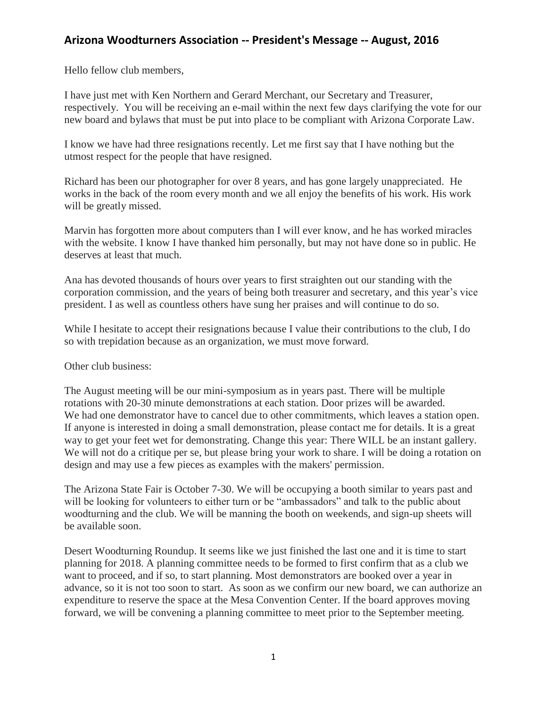## **Arizona Woodturners Association -- President's Message -- August, 2016**

Hello fellow club members,

I have just met with Ken Northern and Gerard Merchant, our Secretary and Treasurer, respectively. You will be receiving an e-mail within the next few days clarifying the vote for our new board and bylaws that must be put into place to be compliant with Arizona Corporate Law.

I know we have had three resignations recently. Let me first say that I have nothing but the utmost respect for the people that have resigned.

Richard has been our photographer for over 8 years, and has gone largely unappreciated. He works in the back of the room every month and we all enjoy the benefits of his work. His work will be greatly missed.

Marvin has forgotten more about computers than I will ever know, and he has worked miracles with the website. I know I have thanked him personally, but may not have done so in public. He deserves at least that much.

Ana has devoted thousands of hours over years to first straighten out our standing with the corporation commission, and the years of being both treasurer and secretary, and this year's vice president. I as well as countless others have sung her praises and will continue to do so.

While I hesitate to accept their resignations because I value their contributions to the club, I do so with trepidation because as an organization, we must move forward.

Other club business:

The August meeting will be our mini-symposium as in years past. There will be multiple rotations with 20-30 minute demonstrations at each station. Door prizes will be awarded. We had one demonstrator have to cancel due to other commitments, which leaves a station open. If anyone is interested in doing a small demonstration, please contact me for details. It is a great way to get your feet wet for demonstrating. Change this year: There WILL be an instant gallery. We will not do a critique per se, but please bring your work to share. I will be doing a rotation on design and may use a few pieces as examples with the makers' permission.

The Arizona State Fair is October 7-30. We will be occupying a booth similar to years past and will be looking for volunteers to either turn or be "ambassadors" and talk to the public about woodturning and the club. We will be manning the booth on weekends, and sign-up sheets will be available soon.

Desert Woodturning Roundup. It seems like we just finished the last one and it is time to start planning for 2018. A planning committee needs to be formed to first confirm that as a club we want to proceed, and if so, to start planning. Most demonstrators are booked over a year in advance, so it is not too soon to start. As soon as we confirm our new board, we can authorize an expenditure to reserve the space at the Mesa Convention Center. If the board approves moving forward, we will be convening a planning committee to meet prior to the September meeting.